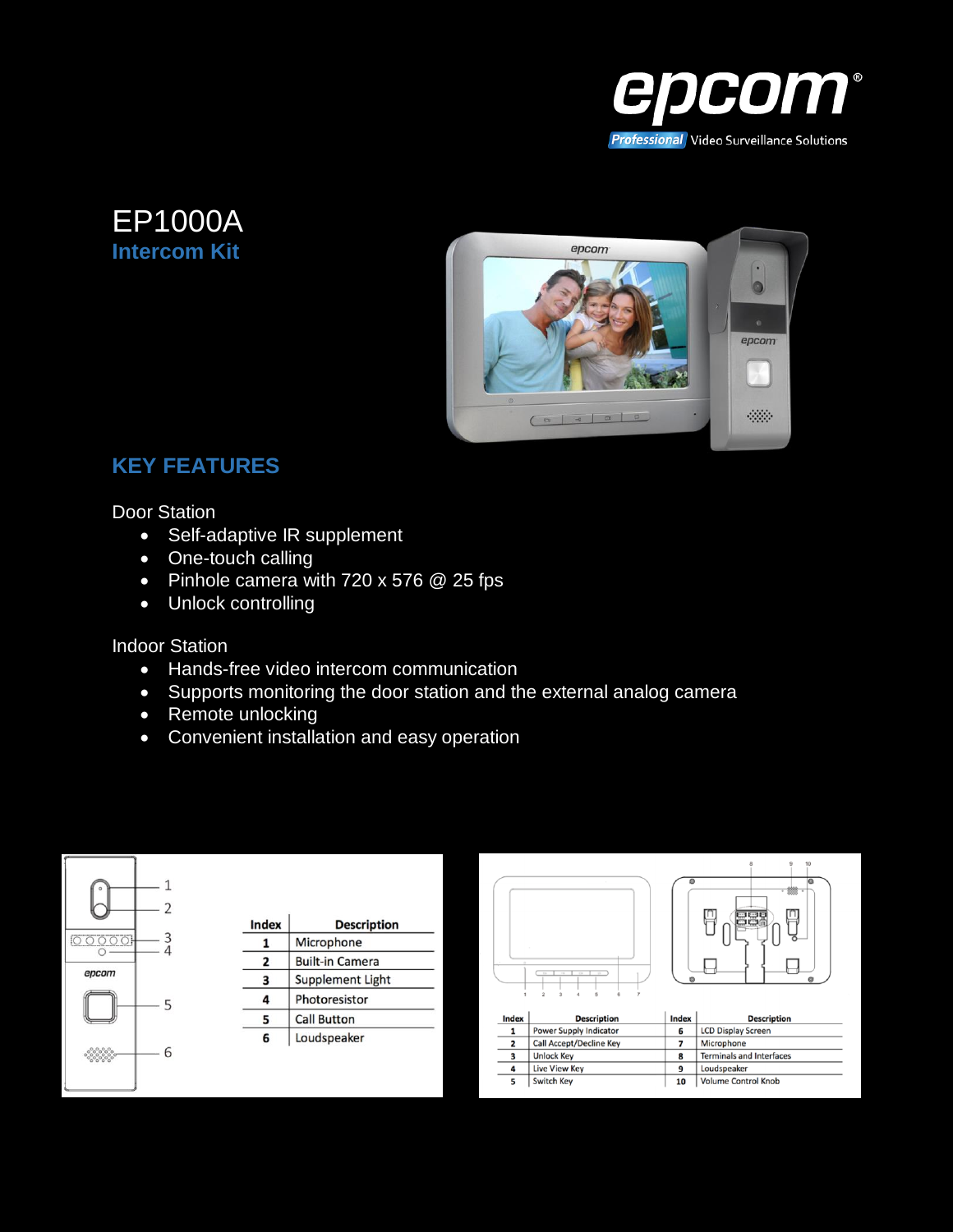





## **KEY FEATURES**

Door Station

- Self-adaptive IR supplement
- One-touch calling
- Pinhole camera with 720 x 576 @ 25 fps
- Unlock controlling

Indoor Station

- Hands-free video intercom communication
- Supports monitoring the door station and the external analog camera
- Remote unlocking
- Convenient installation and easy operation



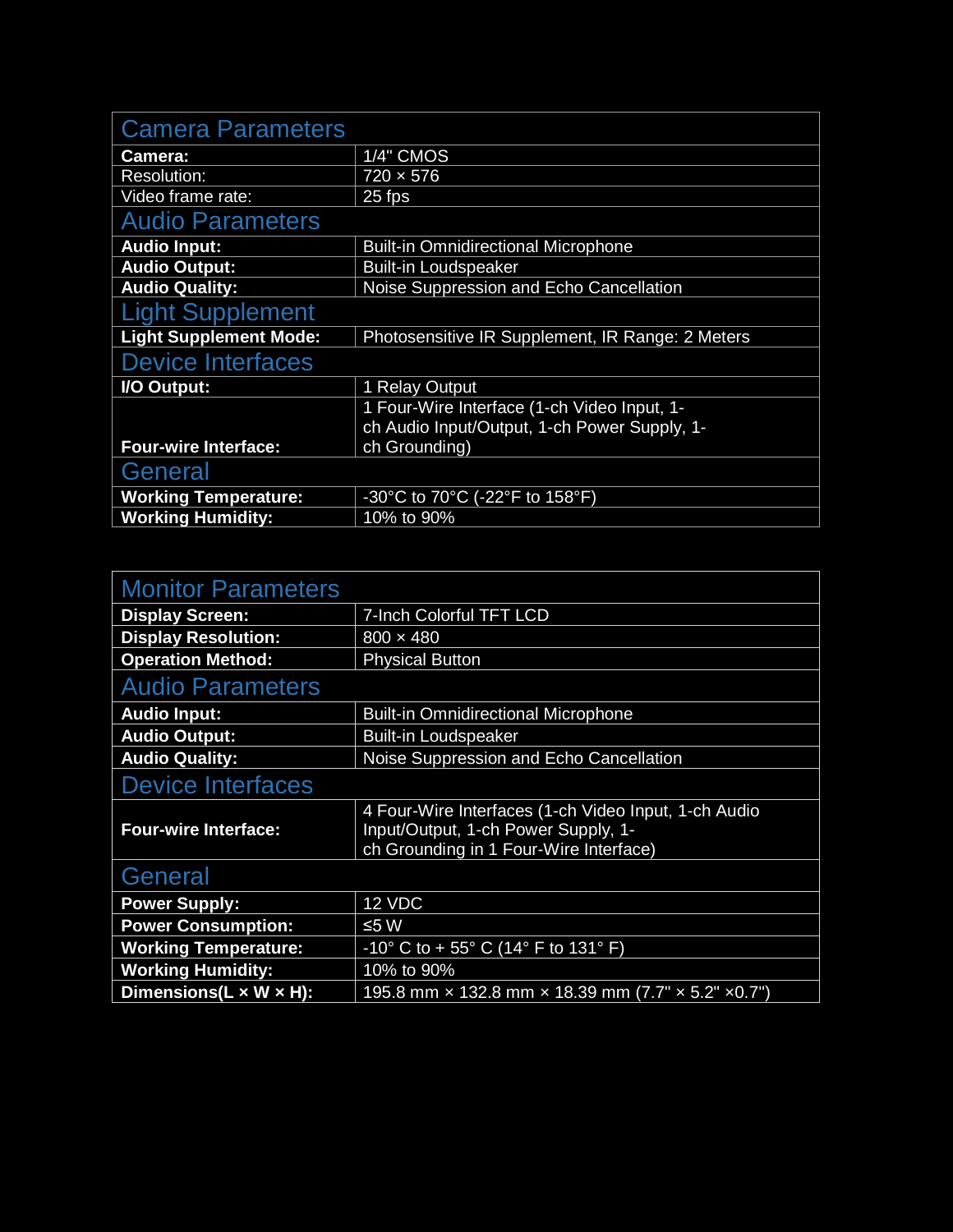| <b>Camera Parameters</b>      |                                                  |
|-------------------------------|--------------------------------------------------|
| Camera:                       | 1/4" CMOS                                        |
| <b>Resolution:</b>            | $720 \times 576$                                 |
| Video frame rate:             | 25 fps                                           |
| <b>Audio Parameters</b>       |                                                  |
| <b>Audio Input:</b>           | <b>Built-in Omnidirectional Microphone</b>       |
| <b>Audio Output:</b>          | <b>Built-in Loudspeaker</b>                      |
| <b>Audio Quality:</b>         | Noise Suppression and Echo Cancellation          |
| <b>Light Supplement</b>       |                                                  |
| <b>Light Supplement Mode:</b> | Photosensitive IR Supplement, IR Range: 2 Meters |
| <b>Device Interfaces</b>      |                                                  |
| I/O Output:                   | 1 Relay Output                                   |
|                               | 1 Four-Wire Interface (1-ch Video Input, 1-      |
|                               | ch Audio Input/Output, 1-ch Power Supply, 1-     |
| <b>Four-wire Interface:</b>   | ch Grounding)                                    |
| General                       |                                                  |
| <b>Working Temperature:</b>   | -30°C to 70°C (-22°F to 158°F)                   |
| <b>Working Humidity:</b>      | 10% to 90%                                       |

| <b>Monitor Parameters</b>            |                                                                                                                                       |
|--------------------------------------|---------------------------------------------------------------------------------------------------------------------------------------|
| <b>Display Screen:</b>               | 7-Inch Colorful TFT LCD                                                                                                               |
| <b>Display Resolution:</b>           | $800 \times 480$                                                                                                                      |
| <b>Operation Method:</b>             | <b>Physical Button</b>                                                                                                                |
| <b>Audio Parameters</b>              |                                                                                                                                       |
| <b>Audio Input:</b>                  | <b>Built-in Omnidirectional Microphone</b>                                                                                            |
| <b>Audio Output:</b>                 | <b>Built-in Loudspeaker</b>                                                                                                           |
| <b>Audio Quality:</b>                | Noise Suppression and Echo Cancellation                                                                                               |
| <b>Device Interfaces</b>             |                                                                                                                                       |
| <b>Four-wire Interface:</b>          | 4 Four-Wire Interfaces (1-ch Video Input, 1-ch Audio<br>Input/Output, 1-ch Power Supply, 1-<br>ch Grounding in 1 Four-Wire Interface) |
| General                              |                                                                                                                                       |
| <b>Power Supply:</b>                 | 12 VDC                                                                                                                                |
| <b>Power Consumption:</b>            | ≤5 W                                                                                                                                  |
| <b>Working Temperature:</b>          | $-10^{\circ}$ C to + 55 $^{\circ}$ C (14 $^{\circ}$ F to 131 $^{\circ}$ F)                                                            |
| <b>Working Humidity:</b>             | 10% to 90%                                                                                                                            |
| Dimensions( $L \times W \times H$ ): | 195.8 mm x 132.8 mm x 18.39 mm (7.7" x 5.2" x 0.7")                                                                                   |